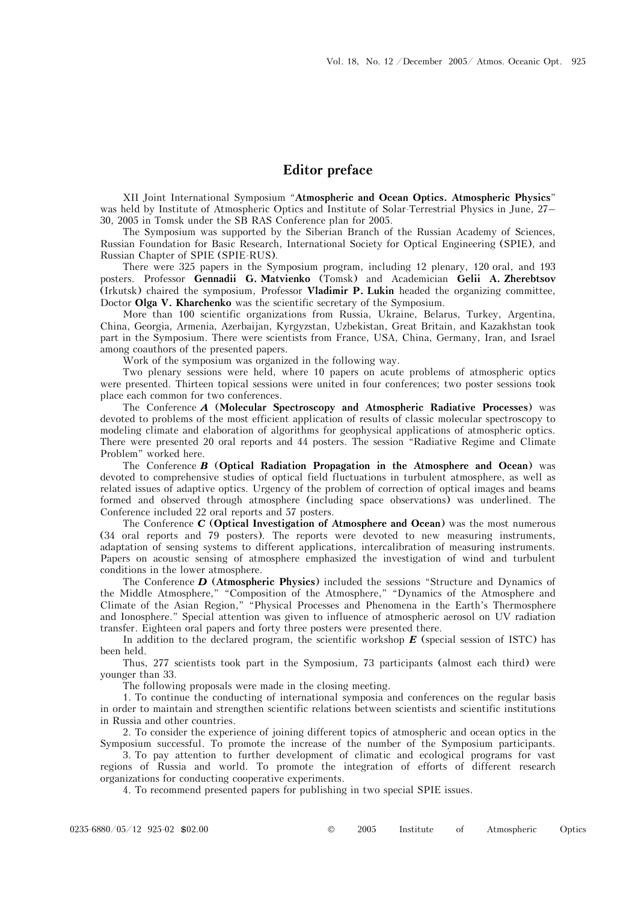## **Editor preface**

XII Joint International Symposium "**Atmospheric and Ocean Optics. Atmospheric Physics**" was held by Institute of Atmospheric Optics and Institute of Solar-Terrestrial Physics in June, 27– 30, 2005 in Tomsk under the SB RAS Conference plan for 2005.

The Symposium was supported by the Siberian Branch of the Russian Academy of Sciences, Russian Foundation for Basic Research, International Society for Optical Engineering (SPIE), and Russian Chapter of SPIE (SPIE-RUS).

There were 325 papers in the Symposium program, including 12 plenary, 120 oral, and 193 posters. Professor **Gennadii G. Matvienko** (Tomsk) and Academician **Gelii A. Zherebtsov** (Irkutsk) chaired the symposium, Professor **Vladimir P. Lukin** headed the organizing committee, Doctor **Olga V. Kharchenko** was the scientific secretary of the Symposium.

More than 100 scientific organizations from Russia, Ukraine, Belarus, Turkey, Argentina, China, Georgia, Armenia, Azerbaijan, Kyrgyzstan, Uzbekistan, Great Britain, and Kazakhstan took part in the Symposium. There were scientists from France, USA, China, Germany, Iran, and Israel among coauthors of the presented papers.

Work of the symposium was organized in the following way.

Two plenary sessions were held, where 10 papers on acute problems of atmospheric optics were presented. Thirteen topical sessions were united in four conferences; two poster sessions took place each common for two conferences.

The Conference *A* (**Molecular Spectroscopy and Atmospheric Radiative Processes**) was devoted to problems of the most efficient application of results of classic molecular spectroscopy to modeling climate and elaboration of algorithms for geophysical applications of atmospheric optics. There were presented 20 oral reports and 44 posters. The session "Radiative Regime and Climate Problem" worked here.

The Conference *B* (**Optical Radiation Propagation in the Atmosphere and Ocean**) was devoted to comprehensive studies of optical field fluctuations in turbulent atmosphere, as well as related issues of adaptive optics. Urgency of the problem of correction of optical images and beams formed and observed through atmosphere (including space observations) was underlined. The Conference included 22 oral reports and 57 posters.

The Conference *C* (**Optical Investigation of Atmosphere and Ocean**) was the most numerous (34 oral reports and 79 posters). The reports were devoted to new measuring instruments, adaptation of sensing systems to different applications, intercalibration of measuring instruments. Papers on acoustic sensing of atmosphere emphasized the investigation of wind and turbulent conditions in the lower atmosphere.

The Conference *D* (**Atmospheric Physics**) included the sessions "Structure and Dynamics of the Middle Atmosphere," "Composition of the Atmosphere," "Dynamics of the Atmosphere and Climate of the Asian Region," "Physical Processes and Phenomena in the Earth's Thermosphere and Ionosphere." Special attention was given to influence of atmospheric aerosol on UV radiation transfer. Eighteen oral papers and forty three posters were presented there.

In addition to the declared program, the scientific workshop *E* (special session of ISTC) has been held.

Thus, 277 scientists took part in the Symposium, 73 participants (almost each third) were younger than 33.

The following proposals were made in the closing meeting.

1. To continue the conducting of international symposià and conferences on the regular basis in order to maintain and strengthen scientific relations between scientists and scientific institutions in Russia and other countries.

2. To consider the experience of joining different topics of atmospheric and ocean optics in the Symposium successful. To promote the increase of the number of the Symposium participants.

 3. To pay attention to further development of climatic and ecological programs for vast regions of Russia and world. To promote the integration of efforts of different research organizations for conducting cooperative experiments.

4. To recommend presented papers for publishing in two special SPIE issues.